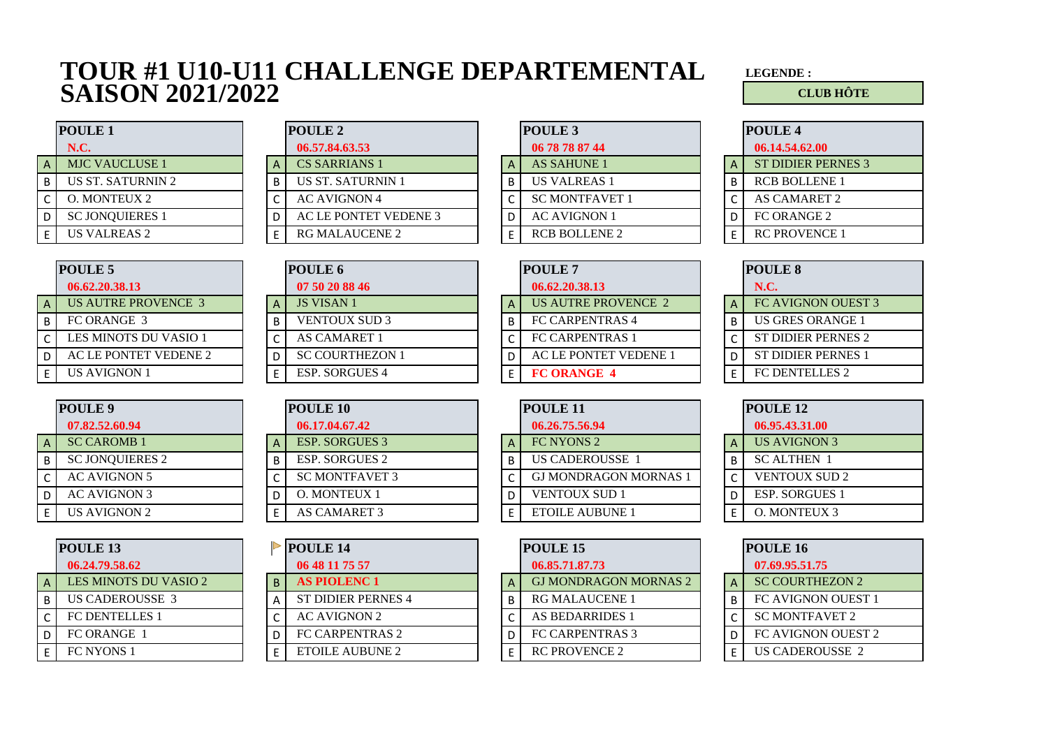## **TOUR #1 U10-U11 CHALLENGE DEPARTEMENTAL LEGENDE : SAISON 2021/2022 CLUB HÔTE**

|   | <b>POULE 1</b>           |
|---|--------------------------|
|   | <b>N.C.</b>              |
| Д | <b>MJC VAUCLUSE 1</b>    |
| B | <b>US ST. SATURNIN 2</b> |
| C | <b>O. MONTEUX 2</b>      |
| D | <b>SC JONQUIERES 1</b>   |
| F | <b>US VALREAS 2</b>      |

|   | <b>POULE 5</b>             |
|---|----------------------------|
|   | 06.62.20.38.13             |
|   | <b>US AUTRE PROVENCE 3</b> |
| В | FC ORANGE 3                |
| C | LES MINOTS DU VASIO 1      |
| D | AC LE PONTET VEDENE 2      |
|   | US AVIGNON 1               |

|   | POULE <sub>9</sub>     |
|---|------------------------|
|   | 07.82.52.60.94         |
|   | <b>SC CAROMB1</b>      |
| в | <b>SC JONQUIERES 2</b> |
| C | <b>AC AVIGNON 5</b>    |
| D | AC AVIGNON 3           |
|   | <b>US AVIGNON 2</b>    |

|   | <b>POULE 13</b>              |
|---|------------------------------|
|   | 06.24.79.58.62               |
|   | <b>LES MINOTS DU VASIO 2</b> |
| B | <b>US CADEROUSSE 3</b>       |
| C | <b>FC DENTELLES 1</b>        |
| D | FC ORANGE 1                  |
| F | <b>FC NYONS 1</b>            |

|     | <b>POULE 1</b><br><b>POULE 2</b> |  |                          | POULE 3 |                       | <b>POULE 4</b> |                           |
|-----|----------------------------------|--|--------------------------|---------|-----------------------|----------------|---------------------------|
|     | N.C.                             |  | 06.57.84.63.53           |         | 06 78 78 87 44        |                | 06.14.54.62.00            |
| ΑI  | <b>MJC VAUCLUSE 1</b>            |  | <b>CS SARRIANS 1</b>     |         | <b>AS SAHUNE 1</b>    | A              | <b>ST DIDIER PERNES 3</b> |
| B I | US ST. SATURNIN 2                |  | <b>US ST. SATURNIN 1</b> | B       | <b>US VALREAS 1</b>   |                | <b>RCB BOLLENE 1</b>      |
| C   | O. MONTEUX 2                     |  | <b>AC AVIGNON 4</b>      |         | <b>SC MONTFAVET 1</b> |                | AS CAMARET 2              |
| D l | <b>SC JONQUIERES 1</b>           |  | AC LE PONTET VEDENE 3    |         | <b>AC AVIGNON 1</b>   |                | FC ORANGE 2               |
|     | US VALREAS 2                     |  | RG MALAUCENE 2           |         | <b>RCB BOLLENE 2</b>  |                | <b>RC PROVENCE 1</b>      |

|   | <b>POULE 3</b>        |
|---|-----------------------|
|   | 06 78 78 87 44        |
| А | AS SAHUNE 1           |
| В | <b>US VALREAS 1</b>   |
| C | <b>SC MONTFAVET 1</b> |
| D | AC AVIGNON 1          |
| F | <b>RCB BOLLENE 2</b>  |

| <b>POULE 4</b>       |
|----------------------|
| 06.14.54.62.00       |
| ST DIDIER PERNES 3   |
| <b>RCB BOLLENE 1</b> |
| <b>AS CAMARET 2</b>  |
| FC ORANGE 2          |
| <b>RC PROVENCE 1</b> |
|                      |

|    | <b>POULE 5</b>        | <b>POULE 6</b>            | <b>POULE 7</b> |                        |  | <b>POULE 8</b>            |
|----|-----------------------|---------------------------|----------------|------------------------|--|---------------------------|
|    | 06.62.20.38.13        | 07 50 20 88 46            |                | 06.62.20.38.13         |  | <b>N.C.</b>               |
| ΑI | US AUTRE PROVENCE 3   | <b>JS VISAN1</b>          |                | US AUTRE PROVENCE 2    |  | FC AVIGNON OUEST 3        |
| ΒI | FC ORANGE 3           | <b>VENTOUX SUD 3</b><br>B |                | FC CARPENTRAS 4        |  | <b>US GRES ORANGE 1</b>   |
| СI | LES MINOTS DU VASIO 1 | <b>AS CAMARET 1</b>       |                | <b>FC CARPENTRAS 1</b> |  | ST DIDIER PERNES 2        |
|    | AC LE PONTET VEDENE 2 | <b>SC COURTHEZON 1</b>    |                | AC LE PONTET VEDENE 1  |  | <b>ST DIDIER PERNES 1</b> |
|    | <b>US AVIGNON 1</b>   | <b>ESP. SORGUES 4</b>     |                | <b>FC ORANGE 4</b>     |  | <b>FC DENTELLES 2</b>     |

|   | <b>POULE 8</b>            |
|---|---------------------------|
|   | <b>N.C.</b>               |
|   | <b>FC AVIGNON OUEST 3</b> |
| B | <b>US GRES ORANGE 1</b>   |
| C | ST DIDIER PERNES 2        |
|   | ST DIDIER PERNES 1        |
| F | <b>FC DENTELLES 2</b>     |

|     | <b>POULE</b> 9         | <b>POULE 10</b> |  |                       | <b>POULE 11</b> |                              | <b>POULE 12</b> |                       |
|-----|------------------------|-----------------|--|-----------------------|-----------------|------------------------------|-----------------|-----------------------|
|     | 07.82.52.60.94         |                 |  | 06.17.04.67.42        |                 | 06.26.75.56.94               |                 | 06.95.43.31.00        |
|     | <b>SC CAROMB 1</b>     |                 |  | <b>ESP. SORGUES 3</b> |                 | FC NYONS 2                   | A               | US AVIGNON 3          |
| B I | <b>SC JONQUIERES 2</b> |                 |  | <b>ESP. SORGUES 2</b> |                 | <b>US CADEROUSSE 1</b>       | B               | <b>SC ALTHEN 1</b>    |
| C I | AC AVIGNON 5           |                 |  | <b>SC MONTFAVET 3</b> |                 | <b>GJ MONDRAGON MORNAS 1</b> |                 | <b>VENTOUX SUD 2</b>  |
| DІ  | AC AVIGNON 3           |                 |  | O. MONTEUX 1          |                 | <b>VENTOUX SUD 1</b>         |                 | <b>ESP. SORGUES 1</b> |
|     | US AVIGNON 2           |                 |  | <b>AS CAMARET 3</b>   |                 | <b>ETOILE AUBUNE 1</b>       |                 | O. MONTEUX 3          |

| <b>POULE 9</b>         | <b>POULE 10</b>       | POULE <sub>11</sub>          |  | <b>POULE 12</b> |
|------------------------|-----------------------|------------------------------|--|-----------------|
| 07.82.52.60.94         | 06.17.04.67.42        | 06.26.75.56.94               |  | 06.95.43.3      |
| <b>SC CAROMB 1</b>     | <b>ESP. SORGUES 3</b> | FC NYONS 2                   |  | <b>US AVIGN</b> |
| <b>SC JONQUIERES 2</b> | <b>ESP. SORGUES 2</b> | <b>US CADEROUSSE 1</b>       |  | <b>SC ALTHI</b> |
| AC AVIGNON 5           | <b>SC MONTFAVET 3</b> | <b>GJ MONDRAGON MORNAS 1</b> |  | <b>VENTOU</b>   |
| AC AVIGNON 3           | <b>O. MONTEUX 1</b>   | <b>VENTOUX SUD 1</b>         |  | <b>ESP. SOR</b> |
| US AVIGNON 2           | AS CAMARET 3          | <b>ETOILE AUBUNE 1</b>       |  | O. MONTI        |

|   | <b>POULE 12</b>       |
|---|-----------------------|
|   | 06.95.43.31.00        |
|   | <b>US AVIGNON 3</b>   |
| в | <b>SC ALTHEN 1</b>    |
| C | <b>VENTOUX SUD 2</b>  |
| D | <b>ESP. SORGUES 1</b> |
| F | O. MONTEUX 3          |
|   |                       |

|              | POULE <sub>13</sub>   |  | <b>POULE 14</b>           |  | POULE <sub>15</sub>          |  | POULE 16                  |
|--------------|-----------------------|--|---------------------------|--|------------------------------|--|---------------------------|
|              | 06.24.79.58.62        |  | 06 48 11 75 57            |  | 06.85.71.87.73               |  | 07.69.95.51.75            |
| $\mathsf{A}$ | LES MINOTS DU VASIO 2 |  | <b>AS PIOLENC 1</b>       |  | <b>GJ MONDRAGON MORNAS 2</b> |  | <b>SC COURTHEZON 2</b>    |
| B            | US CADEROUSSE 3       |  | <b>ST DIDIER PERNES 4</b> |  | <b>RG MALAUCENE 1</b>        |  | FC AVIGNON OUEST 1        |
| C            | <b>FC DENTELLES 1</b> |  | <b>AC AVIGNON 2</b>       |  | <b>AS BEDARRIDES 1</b>       |  | <b>SC MONTFAVET 2</b>     |
| DΙ           | FC ORANGE 1           |  | FC CARPENTRAS 2           |  | FC CARPENTRAS 3              |  | <b>FC AVIGNON OUEST 2</b> |
|              | FC NYONS 1            |  | ETOILE AUBUNE 2           |  | <b>RC PROVENCE 2</b>         |  | US CADEROUSSE 2           |

|   | POULE <sub>15</sub>          |
|---|------------------------------|
|   | 06.85.71.87.73               |
| А | <b>GJ MONDRAGON MORNAS 2</b> |
| B | <b>RG MALAUCENE 1</b>        |
| C | <b>AS BEDARRIDES 1</b>       |
| D | <b>FC CARPENTRAS 3</b>       |
| F | <b>RC PROVENCE 2</b>         |

|   | <b>POULE 16</b>        |
|---|------------------------|
|   | 07.69.95.51.75         |
|   | <b>SC COURTHEZON 2</b> |
| в | FC AVIGNON OUEST 1     |
| С | <b>SC MONTFAVET 2</b>  |
| D | FC AVIGNON OUEST 2     |
| F | <b>US CADEROUSSE 2</b> |